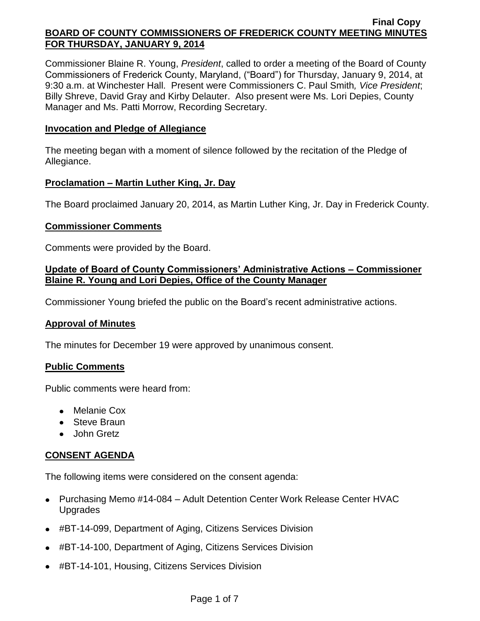Commissioner Blaine R. Young, *President*, called to order a meeting of the Board of County Commissioners of Frederick County, Maryland, ("Board") for Thursday, January 9, 2014, at 9:30 a.m. at Winchester Hall. Present were Commissioners C. Paul Smith*, Vice President*; Billy Shreve, David Gray and Kirby Delauter. Also present were Ms. Lori Depies, County Manager and Ms. Patti Morrow, Recording Secretary.

### **Invocation and Pledge of Allegiance**

The meeting began with a moment of silence followed by the recitation of the Pledge of Allegiance.

## **Proclamation – Martin Luther King, Jr. Day**

The Board proclaimed January 20, 2014, as Martin Luther King, Jr. Day in Frederick County.

## **Commissioner Comments**

Comments were provided by the Board.

## **Update of Board of County Commissioners' Administrative Actions – Commissioner Blaine R. Young and Lori Depies, Office of the County Manager**

Commissioner Young briefed the public on the Board's recent administrative actions.

### **Approval of Minutes**

The minutes for December 19 were approved by unanimous consent.

### **Public Comments**

Public comments were heard from:

- Melanie Cox
- Steve Braun
- John Gretz

# **CONSENT AGENDA**

The following items were considered on the consent agenda:

- Purchasing Memo #14-084 Adult Detention Center Work Release Center HVAC Upgrades
- #BT-14-099, Department of Aging, Citizens Services Division
- #BT-14-100, Department of Aging, Citizens Services Division
- #BT-14-101, Housing, Citizens Services Division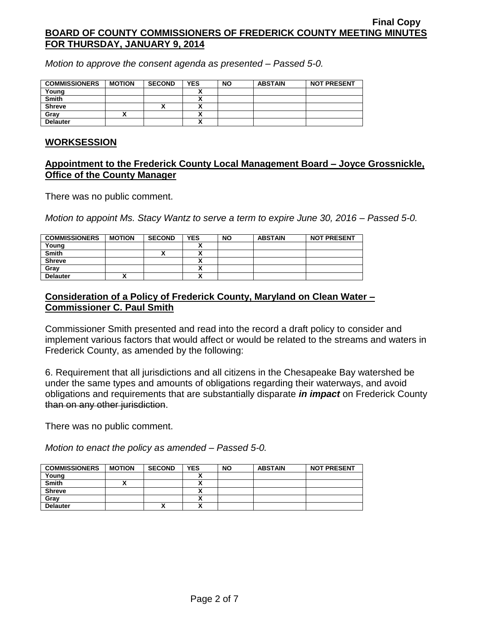*Motion to approve the consent agenda as presented – Passed 5-0.*

| <b>COMMISSIONERS</b> | <b>MOTION</b> | <b>SECOND</b> | <b>YES</b> | <b>NO</b> | <b>ABSTAIN</b> | <b>NOT PRESENT</b> |
|----------------------|---------------|---------------|------------|-----------|----------------|--------------------|
| Young                |               |               |            |           |                |                    |
| <b>Smith</b>         |               |               |            |           |                |                    |
| <b>Shreve</b>        |               | ^             |            |           |                |                    |
| Grav                 |               |               |            |           |                |                    |
| <b>Delauter</b>      |               |               |            |           |                |                    |

### **WORKSESSION**

## **Appointment to the Frederick County Local Management Board – Joyce Grossnickle, Office of the County Manager**

There was no public comment.

*Motion to appoint Ms. Stacy Wantz to serve a term to expire June 30, 2016 – Passed 5-0.*

| <b>COMMISSIONERS</b> | <b>MOTION</b> | <b>SECOND</b> | <b>YES</b>   | <b>NO</b> | <b>ABSTAIN</b> | <b>NOT PRESENT</b> |
|----------------------|---------------|---------------|--------------|-----------|----------------|--------------------|
| Young                |               |               |              |           |                |                    |
| <b>Smith</b>         |               |               |              |           |                |                    |
| <b>Shreve</b>        |               |               |              |           |                |                    |
| Grav                 |               |               | $\mathbf{v}$ |           |                |                    |
| <b>Delauter</b>      |               |               | $\mathbf{v}$ |           |                |                    |

# **Consideration of a Policy of Frederick County, Maryland on Clean Water – Commissioner C. Paul Smith**

Commissioner Smith presented and read into the record a draft policy to consider and implement various factors that would affect or would be related to the streams and waters in Frederick County, as amended by the following:

6. Requirement that all jurisdictions and all citizens in the Chesapeake Bay watershed be under the same types and amounts of obligations regarding their waterways, and avoid obligations and requirements that are substantially disparate *in impact* on Frederick County than on any other jurisdiction.

There was no public comment.

*Motion to enact the policy as amended – Passed 5-0.*

| <b>COMMISSIONERS</b> | <b>MOTION</b> | <b>SECOND</b>      | <b>YES</b>                 | <b>NO</b> | <b>ABSTAIN</b> | <b>NOT PRESENT</b> |
|----------------------|---------------|--------------------|----------------------------|-----------|----------------|--------------------|
| Young                |               |                    |                            |           |                |                    |
| <b>Smith</b>         |               |                    | $\overline{\phantom{a}}$   |           |                |                    |
| <b>Shreve</b>        |               |                    | $\overline{\phantom{a}}$   |           |                |                    |
| Gray                 |               |                    | $\boldsymbol{\mathcal{L}}$ |           |                |                    |
| <b>Delauter</b>      |               | $\mathbf{\Lambda}$ | $\overline{\phantom{a}}$   |           |                |                    |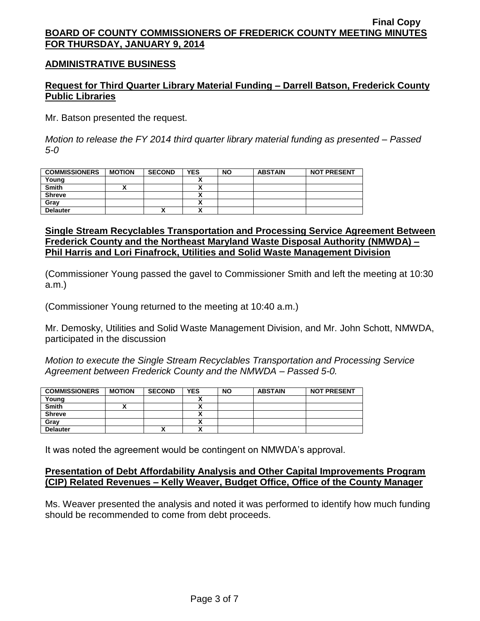### **ADMINISTRATIVE BUSINESS**

### **Request for Third Quarter Library Material Funding – Darrell Batson, Frederick County Public Libraries**

Mr. Batson presented the request.

*Motion to release the FY 2014 third quarter library material funding as presented – Passed 5-0*

| <b>COMMISSIONERS</b> | <b>MOTION</b> | <b>SECOND</b> | <b>YES</b> | <b>NO</b> | <b>ABSTAIN</b> | <b>NOT PRESENT</b> |
|----------------------|---------------|---------------|------------|-----------|----------------|--------------------|
| Young                |               |               |            |           |                |                    |
| <b>Smith</b>         |               |               |            |           |                |                    |
| <b>Shreve</b>        |               |               | ,,         |           |                |                    |
| Gray                 |               |               | Δ          |           |                |                    |
| <b>Delauter</b>      |               | $\mathbf{v}$  | ~          |           |                |                    |

### **Single Stream Recyclables Transportation and Processing Service Agreement Between Frederick County and the Northeast Maryland Waste Disposal Authority (NMWDA) – Phil Harris and Lori Finafrock, Utilities and Solid Waste Management Division**

(Commissioner Young passed the gavel to Commissioner Smith and left the meeting at 10:30 a.m.)

(Commissioner Young returned to the meeting at 10:40 a.m.)

Mr. Demosky, Utilities and Solid Waste Management Division, and Mr. John Schott, NMWDA, participated in the discussion

*Motion to execute the Single Stream Recyclables Transportation and Processing Service Agreement between Frederick County and the NMWDA – Passed 5-0.*

| <b>COMMISSIONERS</b> | <b>MOTION</b> | <b>SECOND</b> | <b>YES</b>           | <b>NO</b> | <b>ABSTAIN</b> | <b>NOT PRESENT</b> |
|----------------------|---------------|---------------|----------------------|-----------|----------------|--------------------|
| Young                |               |               |                      |           |                |                    |
| <b>Smith</b>         |               |               | v                    |           |                |                    |
| <b>Shreve</b>        |               |               |                      |           |                |                    |
| Gray                 |               |               |                      |           |                |                    |
| <b>Delauter</b>      |               |               | $\ddot{\phantom{1}}$ |           |                |                    |

It was noted the agreement would be contingent on NMWDA's approval.

### **Presentation of Debt Affordability Analysis and Other Capital Improvements Program (CIP) Related Revenues – Kelly Weaver, Budget Office, Office of the County Manager**

Ms. Weaver presented the analysis and noted it was performed to identify how much funding should be recommended to come from debt proceeds.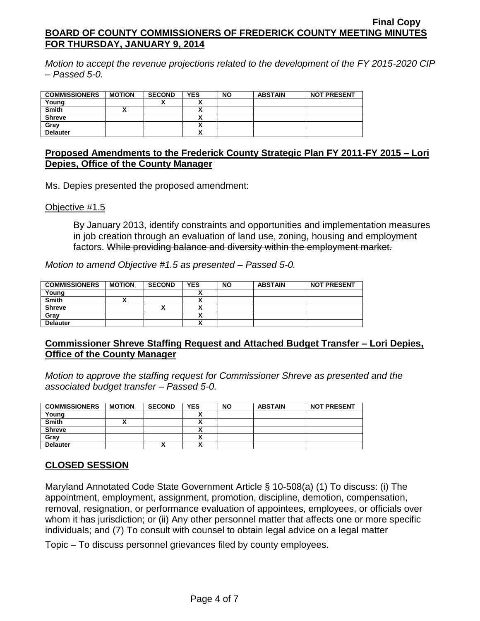*Motion to accept the revenue projections related to the development of the FY 2015-2020 CIP – Passed 5-0.*

| <b>COMMISSIONERS</b> | <b>MOTION</b> | <b>SECOND</b> | <b>YES</b>               | <b>NO</b> | <b>ABSTAIN</b> | <b>NOT PRESENT</b> |
|----------------------|---------------|---------------|--------------------------|-----------|----------------|--------------------|
| Young                |               | "             |                          |           |                |                    |
| <b>Smith</b>         |               |               |                          |           |                |                    |
| <b>Shreve</b>        |               |               |                          |           |                |                    |
| Grav                 |               |               |                          |           |                |                    |
| <b>Delauter</b>      |               |               | $\overline{\phantom{a}}$ |           |                |                    |

### **Proposed Amendments to the Frederick County Strategic Plan FY 2011-FY 2015 – Lori Depies, Office of the County Manager**

Ms. Depies presented the proposed amendment:

Objective #1.5

By January 2013, identify constraints and opportunities and implementation measures in job creation through an evaluation of land use, zoning, housing and employment factors. While providing balance and diversity within the employment market.

*Motion to amend Objective #1.5 as presented – Passed 5-0.*

| <b>COMMISSIONERS</b> | <b>MOTION</b> | <b>SECOND</b> | <b>YES</b> | <b>NO</b> | <b>ABSTAIN</b> | <b>NOT PRESENT</b> |
|----------------------|---------------|---------------|------------|-----------|----------------|--------------------|
| Young                |               |               |            |           |                |                    |
| <b>Smith</b>         |               |               | ,,         |           |                |                    |
| <b>Shreve</b>        |               |               |            |           |                |                    |
| Gray                 |               |               |            |           |                |                    |
| <b>Delauter</b>      |               |               | n          |           |                |                    |

### **Commissioner Shreve Staffing Request and Attached Budget Transfer – Lori Depies, Office of the County Manager**

*Motion to approve the staffing request for Commissioner Shreve as presented and the associated budget transfer – Passed 5-0.*

| <b>COMMISSIONERS</b> | <b>MOTION</b> | <b>SECOND</b> | <b>YES</b> | <b>NO</b> | <b>ABSTAIN</b> | <b>NOT PRESENT</b> |
|----------------------|---------------|---------------|------------|-----------|----------------|--------------------|
| Young                |               |               |            |           |                |                    |
| <b>Smith</b>         |               |               |            |           |                |                    |
| <b>Shreve</b>        |               |               |            |           |                |                    |
| Grav                 |               |               |            |           |                |                    |
| <b>Delauter</b>      |               | Λ             | v          |           |                |                    |

### **CLOSED SESSION**

Maryland Annotated Code State Government Article § 10-508(a) (1) To discuss: (i) The appointment, employment, assignment, promotion, discipline, demotion, compensation, removal, resignation, or performance evaluation of appointees, employees, or officials over whom it has jurisdiction; or (ii) Any other personnel matter that affects one or more specific individuals; and (7) To consult with counsel to obtain legal advice on a legal matter

Topic – To discuss personnel grievances filed by county employees.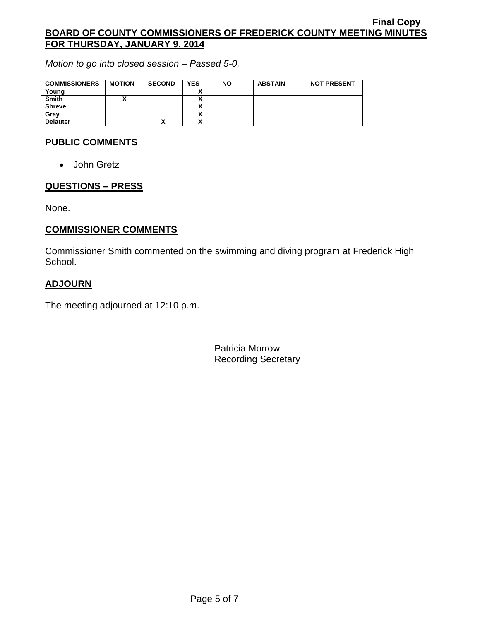*Motion to go into closed session – Passed 5-0.*

| <b>COMMISSIONERS</b> | <b>MOTION</b> | <b>SECOND</b> | <b>YES</b> | <b>NO</b> | <b>ABSTAIN</b> | <b>NOT PRESENT</b> |
|----------------------|---------------|---------------|------------|-----------|----------------|--------------------|
| Young                |               |               |            |           |                |                    |
| Smith                |               |               |            |           |                |                    |
| <b>Shreve</b>        |               |               |            |           |                |                    |
| Grav                 |               |               |            |           |                |                    |
| <b>Delauter</b>      |               | ́             |            |           |                |                    |

# **PUBLIC COMMENTS**

• John Gretz

### **QUESTIONS – PRESS**

None.

## **COMMISSIONER COMMENTS**

Commissioner Smith commented on the swimming and diving program at Frederick High School.

## **ADJOURN**

The meeting adjourned at 12:10 p.m.

Patricia Morrow Recording Secretary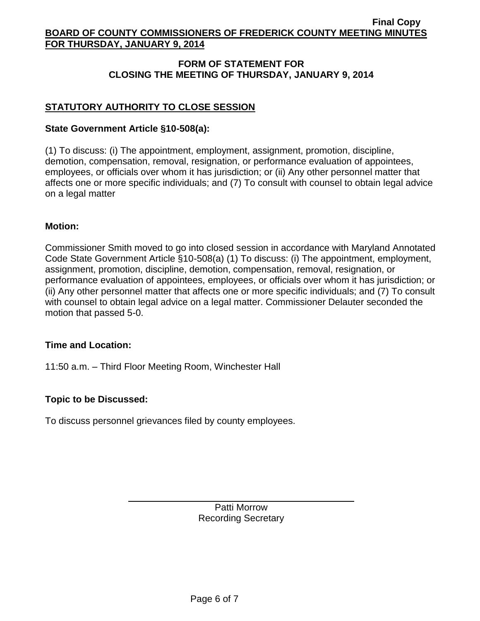# **FORM OF STATEMENT FOR CLOSING THE MEETING OF THURSDAY, JANUARY 9, 2014**

# **STATUTORY AUTHORITY TO CLOSE SESSION**

### **State Government Article §10-508(a):**

(1) To discuss: (i) The appointment, employment, assignment, promotion, discipline, demotion, compensation, removal, resignation, or performance evaluation of appointees, employees, or officials over whom it has jurisdiction; or (ii) Any other personnel matter that affects one or more specific individuals; and (7) To consult with counsel to obtain legal advice on a legal matter

## **Motion:**

Commissioner Smith moved to go into closed session in accordance with Maryland Annotated Code State Government Article §10-508(a) (1) To discuss: (i) The appointment, employment, assignment, promotion, discipline, demotion, compensation, removal, resignation, or performance evaluation of appointees, employees, or officials over whom it has jurisdiction; or (ii) Any other personnel matter that affects one or more specific individuals; and (7) To consult with counsel to obtain legal advice on a legal matter. Commissioner Delauter seconded the motion that passed 5-0.

### **Time and Location:**

11:50 a.m. – Third Floor Meeting Room, Winchester Hall

# **Topic to be Discussed:**

To discuss personnel grievances filed by county employees.

Patti Morrow Recording Secretary